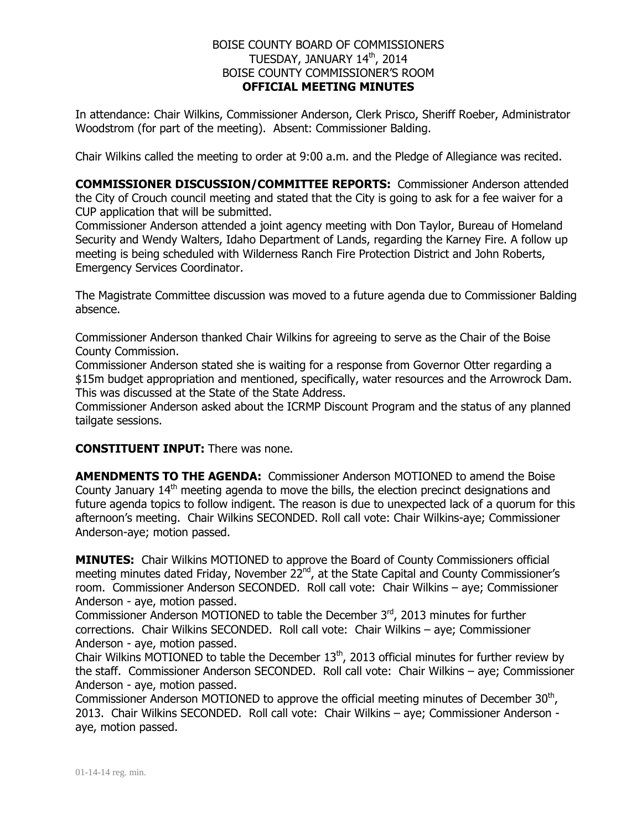## BOISE COUNTY BOARD OF COMMISSIONERS TUESDAY, JANUARY 14th, 2014 BOISE COUNTY COMMISSIONER'S ROOM **OFFICIAL MEETING MINUTES**

In attendance: Chair Wilkins, Commissioner Anderson, Clerk Prisco, Sheriff Roeber, Administrator Woodstrom (for part of the meeting). Absent: Commissioner Balding.

Chair Wilkins called the meeting to order at 9:00 a.m. and the Pledge of Allegiance was recited.

**COMMISSIONER DISCUSSION/COMMITTEE REPORTS:** Commissioner Anderson attended the City of Crouch council meeting and stated that the City is going to ask for a fee waiver for a CUP application that will be submitted.

Commissioner Anderson attended a joint agency meeting with Don Taylor, Bureau of Homeland Security and Wendy Walters, Idaho Department of Lands, regarding the Karney Fire. A follow up meeting is being scheduled with Wilderness Ranch Fire Protection District and John Roberts, Emergency Services Coordinator.

The Magistrate Committee discussion was moved to a future agenda due to Commissioner Balding absence.

Commissioner Anderson thanked Chair Wilkins for agreeing to serve as the Chair of the Boise County Commission.

Commissioner Anderson stated she is waiting for a response from Governor Otter regarding a \$15m budget appropriation and mentioned, specifically, water resources and the Arrowrock Dam. This was discussed at the State of the State Address.

Commissioner Anderson asked about the ICRMP Discount Program and the status of any planned tailgate sessions.

**CONSTITUENT INPUT:** There was none.

**AMENDMENTS TO THE AGENDA:** Commissioner Anderson MOTIONED to amend the Boise County January 14<sup>th</sup> meeting agenda to move the bills, the election precinct designations and future agenda topics to follow indigent. The reason is due to unexpected lack of a quorum for this afternoon's meeting. Chair Wilkins SECONDED. Roll call vote: Chair Wilkins-aye; Commissioner Anderson-aye; motion passed.

**MINUTES:** Chair Wilkins MOTIONED to approve the Board of County Commissioners official meeting minutes dated Friday, November 22<sup>nd</sup>, at the State Capital and County Commissioner's room. Commissioner Anderson SECONDED. Roll call vote: Chair Wilkins – aye; Commissioner Anderson - aye, motion passed.

Commissioner Anderson MOTIONED to table the December  $3<sup>rd</sup>$ , 2013 minutes for further corrections. Chair Wilkins SECONDED. Roll call vote: Chair Wilkins – aye; Commissioner Anderson - aye, motion passed.

Chair Wilkins MOTIONED to table the December  $13<sup>th</sup>$ , 2013 official minutes for further review by the staff. Commissioner Anderson SECONDED. Roll call vote: Chair Wilkins – aye; Commissioner Anderson - aye, motion passed.

Commissioner Anderson MOTIONED to approve the official meeting minutes of December  $30<sup>th</sup>$ , 2013. Chair Wilkins SECONDED. Roll call vote: Chair Wilkins – aye; Commissioner Anderson aye, motion passed.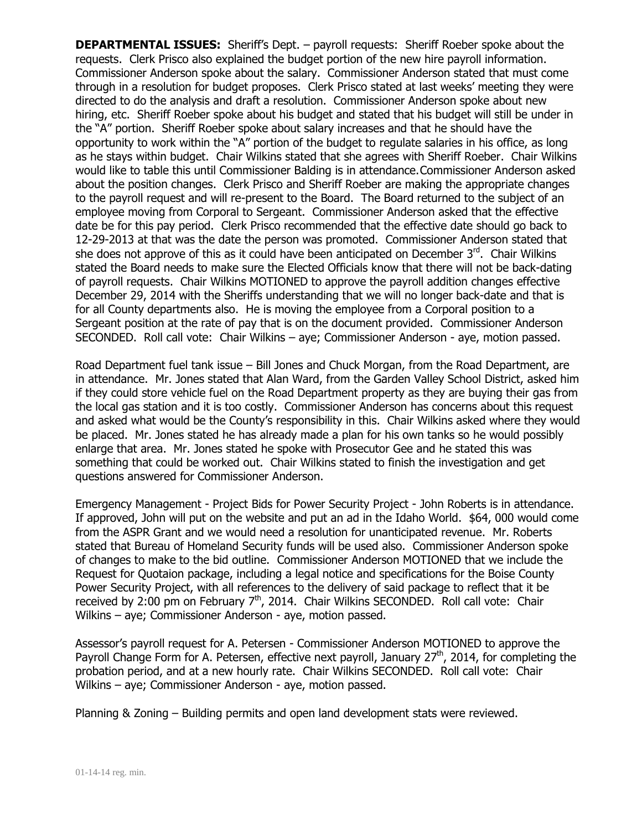**DEPARTMENTAL ISSUES:** Sheriff's Dept. – payroll requests: Sheriff Roeber spoke about the requests. Clerk Prisco also explained the budget portion of the new hire payroll information. Commissioner Anderson spoke about the salary. Commissioner Anderson stated that must come through in a resolution for budget proposes. Clerk Prisco stated at last weeks' meeting they were directed to do the analysis and draft a resolution. Commissioner Anderson spoke about new hiring, etc. Sheriff Roeber spoke about his budget and stated that his budget will still be under in the "A" portion. Sheriff Roeber spoke about salary increases and that he should have the opportunity to work within the "A" portion of the budget to regulate salaries in his office, as long as he stays within budget. Chair Wilkins stated that she agrees with Sheriff Roeber. Chair Wilkins would like to table this until Commissioner Balding is in attendance.Commissioner Anderson asked about the position changes. Clerk Prisco and Sheriff Roeber are making the appropriate changes to the payroll request and will re-present to the Board. The Board returned to the subject of an employee moving from Corporal to Sergeant. Commissioner Anderson asked that the effective date be for this pay period. Clerk Prisco recommended that the effective date should go back to 12-29-2013 at that was the date the person was promoted. Commissioner Anderson stated that she does not approve of this as it could have been anticipated on December  $3<sup>rd</sup>$ . Chair Wilkins stated the Board needs to make sure the Elected Officials know that there will not be back-dating of payroll requests. Chair Wilkins MOTIONED to approve the payroll addition changes effective December 29, 2014 with the Sheriffs understanding that we will no longer back-date and that is for all County departments also. He is moving the employee from a Corporal position to a Sergeant position at the rate of pay that is on the document provided. Commissioner Anderson SECONDED. Roll call vote: Chair Wilkins – aye; Commissioner Anderson - aye, motion passed.

Road Department fuel tank issue – Bill Jones and Chuck Morgan, from the Road Department, are in attendance. Mr. Jones stated that Alan Ward, from the Garden Valley School District, asked him if they could store vehicle fuel on the Road Department property as they are buying their gas from the local gas station and it is too costly. Commissioner Anderson has concerns about this request and asked what would be the County's responsibility in this. Chair Wilkins asked where they would be placed. Mr. Jones stated he has already made a plan for his own tanks so he would possibly enlarge that area. Mr. Jones stated he spoke with Prosecutor Gee and he stated this was something that could be worked out. Chair Wilkins stated to finish the investigation and get questions answered for Commissioner Anderson.

Emergency Management - Project Bids for Power Security Project - John Roberts is in attendance. If approved, John will put on the website and put an ad in the Idaho World. \$64, 000 would come from the ASPR Grant and we would need a resolution for unanticipated revenue. Mr. Roberts stated that Bureau of Homeland Security funds will be used also. Commissioner Anderson spoke of changes to make to the bid outline. Commissioner Anderson MOTIONED that we include the Request for Quotaion package, including a legal notice and specifications for the Boise County Power Security Project, with all references to the delivery of said package to reflect that it be received by 2:00 pm on February  $7<sup>th</sup>$ , 2014. Chair Wilkins SECONDED. Roll call vote: Chair Wilkins – aye; Commissioner Anderson - aye, motion passed.

Assessor's payroll request for A. Petersen - Commissioner Anderson MOTIONED to approve the Payroll Change Form for A. Petersen, effective next payroll, January 27<sup>th</sup>, 2014, for completing the probation period, and at a new hourly rate. Chair Wilkins SECONDED. Roll call vote: Chair Wilkins – aye; Commissioner Anderson - aye, motion passed.

Planning & Zoning – Building permits and open land development stats were reviewed.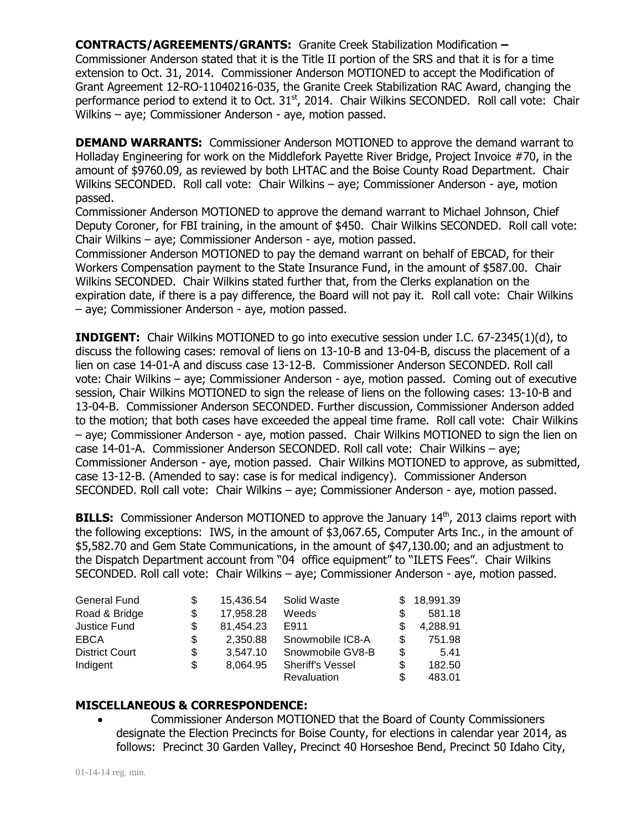**CONTRACTS/AGREEMENTS/GRANTS:** Granite Creek Stabilization Modification **–** Commissioner Anderson stated that it is the Title II portion of the SRS and that it is for a time extension to Oct. 31, 2014. Commissioner Anderson MOTIONED to accept the Modification of Grant Agreement 12-RO-11040216-035, the Granite Creek Stabilization RAC Award, changing the performance period to extend it to Oct.  $31<sup>st</sup>$ , 2014. Chair Wilkins SECONDED. Roll call vote: Chair Wilkins – aye; Commissioner Anderson - aye, motion passed.

**DEMAND WARRANTS:** Commissioner Anderson MOTIONED to approve the demand warrant to Holladay Engineering for work on the Middlefork Payette River Bridge, Project Invoice #70, in the amount of \$9760.09, as reviewed by both LHTAC and the Boise County Road Department. Chair Wilkins SECONDED. Roll call vote: Chair Wilkins – aye; Commissioner Anderson - aye, motion passed.

Commissioner Anderson MOTIONED to approve the demand warrant to Michael Johnson, Chief Deputy Coroner, for FBI training, in the amount of \$450. Chair Wilkins SECONDED. Roll call vote: Chair Wilkins – aye; Commissioner Anderson - aye, motion passed.

Commissioner Anderson MOTIONED to pay the demand warrant on behalf of EBCAD, for their Workers Compensation payment to the State Insurance Fund, in the amount of \$587.00. Chair Wilkins SECONDED. Chair Wilkins stated further that, from the Clerks explanation on the expiration date, if there is a pay difference, the Board will not pay it. Roll call vote: Chair Wilkins – aye; Commissioner Anderson - aye, motion passed.

**INDIGENT:** Chair Wilkins MOTIONED to go into executive session under I.C. 67-2345(1)(d), to discuss the following cases: removal of liens on 13-10-B and 13-04-B, discuss the placement of a lien on case 14-01-A and discuss case 13-12-B. Commissioner Anderson SECONDED. Roll call vote: Chair Wilkins – aye; Commissioner Anderson - aye, motion passed. Coming out of executive session, Chair Wilkins MOTIONED to sign the release of liens on the following cases: 13-10-B and 13-04-B. Commissioner Anderson SECONDED. Further discussion, Commissioner Anderson added to the motion; that both cases have exceeded the appeal time frame. Roll call vote: Chair Wilkins – aye; Commissioner Anderson - aye, motion passed. Chair Wilkins MOTIONED to sign the lien on case 14-01-A. Commissioner Anderson SECONDED. Roll call vote: Chair Wilkins – aye; Commissioner Anderson - aye, motion passed. Chair Wilkins MOTIONED to approve, as submitted, case 13-12-B. (Amended to say: case is for medical indigency). Commissioner Anderson SECONDED. Roll call vote: Chair Wilkins – aye; Commissioner Anderson - aye, motion passed.

**BILLS:** Commissioner Anderson MOTIONED to approve the January 14<sup>th</sup>, 2013 claims report with the following exceptions: IWS, in the amount of \$3,067.65, Computer Arts Inc., in the amount of \$5,582.70 and Gem State Communications, in the amount of \$47,130.00; and an adjustment to the Dispatch Department account from "04 office equipment" to "ILETS Fees". Chair Wilkins SECONDED. Roll call vote: Chair Wilkins – aye; Commissioner Anderson - aye, motion passed.

| <b>General Fund</b>   | \$ | 15.436.54 | Solid Waste             |     | 18,991.39 |
|-----------------------|----|-----------|-------------------------|-----|-----------|
| Road & Bridge         | \$ | 17,958.28 | Weeds                   | \$. | 581.18    |
| Justice Fund          | \$ | 81,454.23 | E911                    |     | 4,288.91  |
| EBCA                  | S  | 2.350.88  | Snowmobile IC8-A        | \$. | 751.98    |
| <b>District Court</b> | \$ | 3,547.10  | Snowmobile GV8-B        | S   | 5.41      |
| Indigent              | \$ | 8,064.95  | <b>Sheriff's Vessel</b> | \$  | 182.50    |
|                       |    |           | <b>Revaluation</b>      | S   | 483.01    |

## **MISCELLANEOUS & CORRESPONDENCE:**

 Commissioner Anderson MOTIONED that the Board of County Commissioners designate the Election Precincts for Boise County, for elections in calendar year 2014, as follows: Precinct 30 Garden Valley, Precinct 40 Horseshoe Bend, Precinct 50 Idaho City,